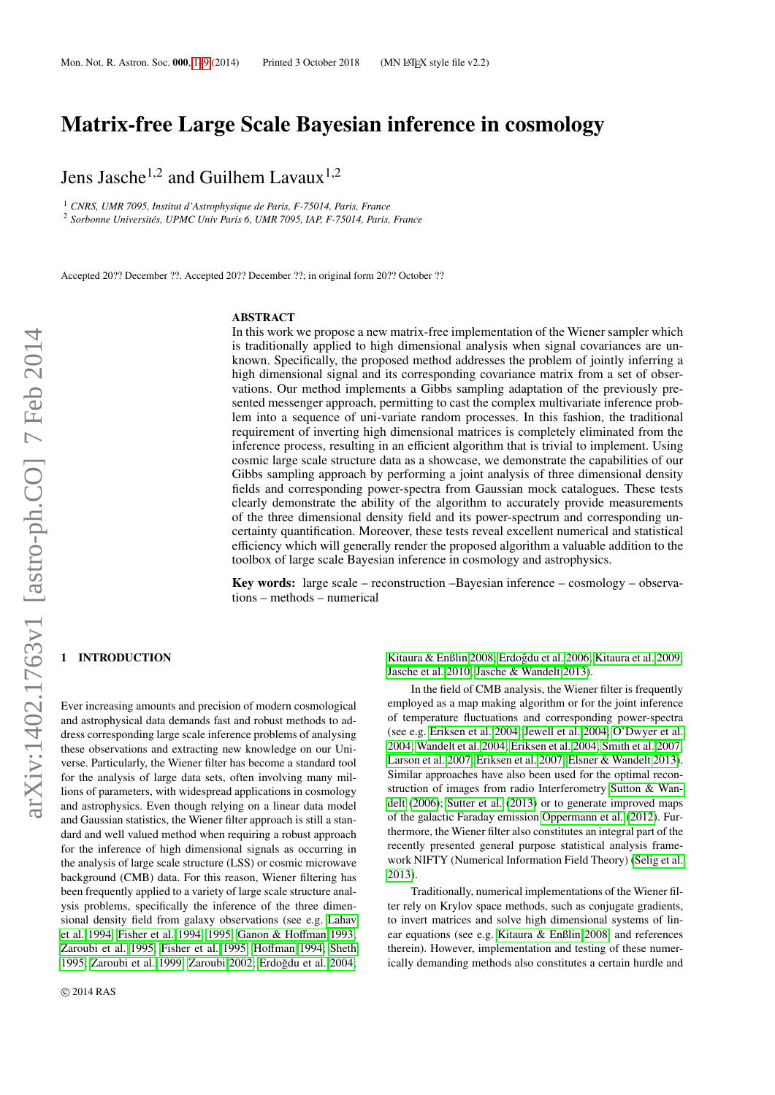# Matrix-free Large Scale Bayesian inference in cosmology

Jens Jasche<sup>1,2</sup> and Guilhem Lavaux<sup>1,2</sup>

<sup>1</sup> *CNRS, UMR 7095, Institut d'Astrophysique de Paris, F-75014, Paris, France*

<sup>2</sup> Sorbonne Universités, UPMC Univ Paris 6, UMR 7095, IAP, F-75014, Paris, France

Accepted 20?? December ??. Accepted 20?? December ??; in original form 20?? October ??

# ABSTRACT

In this work we propose a new matrix-free implementation of the Wiener sampler which is traditionally applied to high dimensional analysis when signal covariances are unknown. Specifically, the proposed method addresses the problem of jointly inferring a high dimensional signal and its corresponding covariance matrix from a set of observations. Our method implements a Gibbs sampling adaptation of the previously presented messenger approach, permitting to cast the complex multivariate inference problem into a sequence of uni-variate random processes. In this fashion, the traditional requirement of inverting high dimensional matrices is completely eliminated from the inference process, resulting in an efficient algorithm that is trivial to implement. Using cosmic large scale structure data as a showcase, we demonstrate the capabilities of our Gibbs sampling approach by performing a joint analysis of three dimensional density fields and corresponding power-spectra from Gaussian mock catalogues. These tests clearly demonstrate the ability of the algorithm to accurately provide measurements of the three dimensional density field and its power-spectrum and corresponding uncertainty quantification. Moreover, these tests reveal excellent numerical and statistical efficiency which will generally render the proposed algorithm a valuable addition to the toolbox of large scale Bayesian inference in cosmology and astrophysics.

Key words: large scale – reconstruction –Bayesian inference – cosmology – observations – methods – numerical

## <span id="page-0-0"></span>**INTRODUCTION**

Ever increasing amounts and precision of modern cosmological and astrophysical data demands fast and robust methods to address corresponding large scale inference problems of analysing these observations and extracting new knowledge on our Universe. Particularly, the Wiener filter has become a standard tool for the analysis of large data sets, often involving many millions of parameters, with widespread applications in cosmology and astrophysics. Even though relying on a linear data model and Gaussian statistics, the Wiener filter approach is still a standard and well valued method when requiring a robust approach for the inference of high dimensional signals as occurring in the analysis of large scale structure (LSS) or cosmic microwave background (CMB) data. For this reason, Wiener filtering has been frequently applied to a variety of large scale structure analysis problems, specifically the inference of the three dimensional density field from galaxy observations (see e.g. [Lahav](#page-8-1) [et al. 1994;](#page-8-1) [Fisher et al. 1994,](#page-8-2) [1995;](#page-8-3) [Ganon & Ho](#page-8-4)ffman [1993;](#page-8-4) [Zaroubi et al. 1995;](#page-8-5) [Fisher et al. 1995;](#page-8-3) Hoff[man 1994;](#page-8-6) [Sheth](#page-8-7) [1995;](#page-8-7) [Zaroubi et al. 1999;](#page-8-8) [Zaroubi 2002;](#page-8-9) Erdoğdu et al. 2004;

Kitaura & Enßlin 2008: Erdoğdu et al. 2006: Kitaura et al. 2009: [Jasche et al. 2010;](#page-8-14) [Jasche & Wandelt 2013\)](#page-8-15).

In the field of CMB analysis, the Wiener filter is frequently employed as a map making algorithm or for the joint inference of temperature fluctuations and corresponding power-spectra (see e.g. [Eriksen et al. 2004;](#page-8-16) [Jewell et al. 2004;](#page-8-17) [O'Dwyer et al.](#page-8-18) [2004;](#page-8-18) [Wandelt et al. 2004;](#page-8-19) [Eriksen et al. 2004;](#page-8-16) [Smith et al. 2007;](#page-8-20) [Larson et al. 2007;](#page-8-21) [Eriksen et al. 2007;](#page-8-22) [Elsner & Wandelt 2013\)](#page-8-23). Similar approaches have also been used for the optimal reconstruction of images from radio Interferometry [Sutton & Wan](#page-8-24)[delt](#page-8-24) [\(2006\)](#page-8-24); [Sutter et al.](#page-8-25) [\(2013\)](#page-8-25) or to generate improved maps of the galactic Faraday emission [Oppermann et al.](#page-8-26) [\(2012\)](#page-8-26). Furthermore, the Wiener filter also constitutes an integral part of the recently presented general purpose statistical analysis framework NIFTY (Numerical Information Field Theory) [\(Selig et al.](#page-8-27) [2013\)](#page-8-27).

Traditionally, numerical implementations of the Wiener filter rely on Krylov space methods, such as conjugate gradients, to invert matrices and solve high dimensional systems of linear equations (see e.g. [Kitaura & Enßlin 2008,](#page-8-11) and references therein). However, implementation and testing of these numerically demanding methods also constitutes a certain hurdle and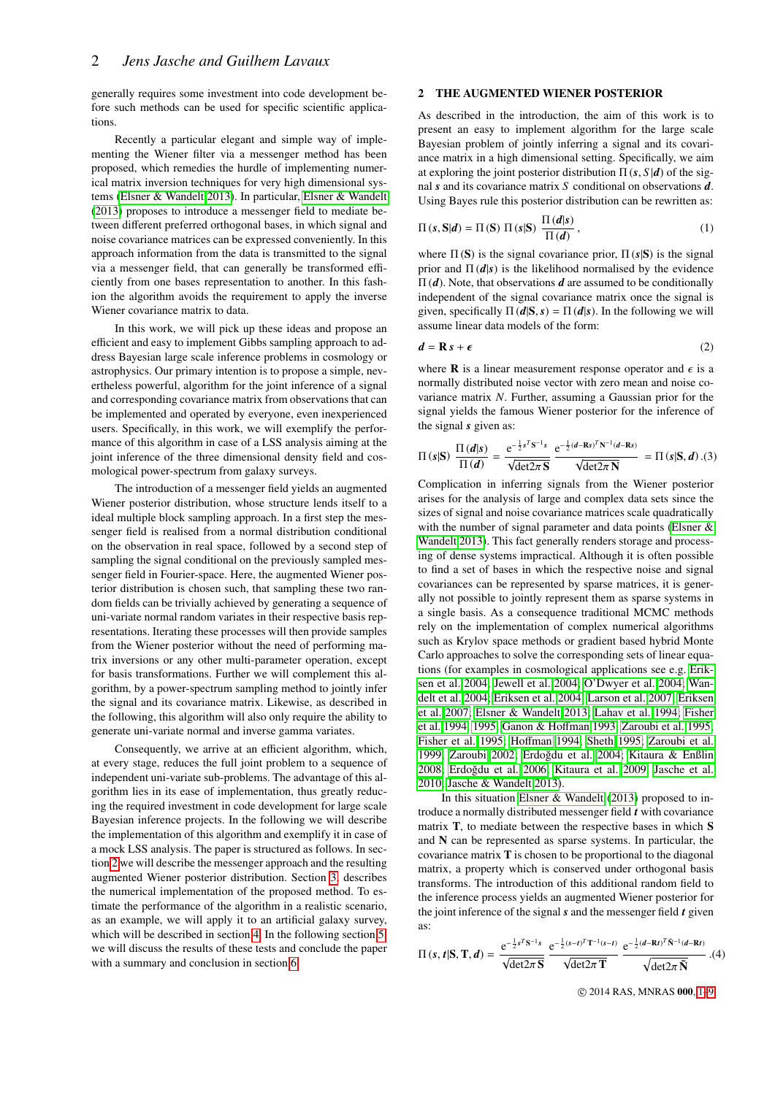generally requires some investment into code development before such methods can be used for specific scientific applications.

Recently a particular elegant and simple way of implementing the Wiener filter via a messenger method has been proposed, which remedies the hurdle of implementing numerical matrix inversion techniques for very high dimensional systems [\(Elsner & Wandelt 2013\)](#page-8-23). In particular, [Elsner & Wandelt](#page-8-23) [\(2013\)](#page-8-23) proposes to introduce a messenger field to mediate between different preferred orthogonal bases, in which signal and noise covariance matrices can be expressed conveniently. In this approach information from the data is transmitted to the signal via a messenger field, that can generally be transformed efficiently from one bases representation to another. In this fashion the algorithm avoids the requirement to apply the inverse Wiener covariance matrix to data.

In this work, we will pick up these ideas and propose an efficient and easy to implement Gibbs sampling approach to address Bayesian large scale inference problems in cosmology or astrophysics. Our primary intention is to propose a simple, nevertheless powerful, algorithm for the joint inference of a signal and corresponding covariance matrix from observations that can be implemented and operated by everyone, even inexperienced users. Specifically, in this work, we will exemplify the performance of this algorithm in case of a LSS analysis aiming at the joint inference of the three dimensional density field and cosmological power-spectrum from galaxy surveys.

The introduction of a messenger field yields an augmented Wiener posterior distribution, whose structure lends itself to a ideal multiple block sampling approach. In a first step the messenger field is realised from a normal distribution conditional on the observation in real space, followed by a second step of sampling the signal conditional on the previously sampled messenger field in Fourier-space. Here, the augmented Wiener posterior distribution is chosen such, that sampling these two random fields can be trivially achieved by generating a sequence of uni-variate normal random variates in their respective basis representations. Iterating these processes will then provide samples from the Wiener posterior without the need of performing matrix inversions or any other multi-parameter operation, except for basis transformations. Further we will complement this algorithm, by a power-spectrum sampling method to jointly infer the signal and its covariance matrix. Likewise, as described in the following, this algorithm will also only require the ability to generate uni-variate normal and inverse gamma variates.

Consequently, we arrive at an efficient algorithm, which, at every stage, reduces the full joint problem to a sequence of independent uni-variate sub-problems. The advantage of this algorithm lies in its ease of implementation, thus greatly reducing the required investment in code development for large scale Bayesian inference projects. In the following we will describe the implementation of this algorithm and exemplify it in case of a mock LSS analysis. The paper is structured as follows. In section [2](#page-1-0) we will describe the messenger approach and the resulting augmented Wiener posterior distribution. Section [3,](#page-2-0) describes the numerical implementation of the proposed method. To estimate the performance of the algorithm in a realistic scenario, as an example, we will apply it to an artificial galaxy survey, which will be described in section [4.](#page-4-0) In the following section [5,](#page-5-0) we will discuss the results of these tests and conclude the paper with a summary and conclusion in section [6.](#page-6-0)

## <span id="page-1-0"></span>2 THE AUGMENTED WIENER POSTERIOR

As described in the introduction, the aim of this work is to present an easy to implement algorithm for the large scale Bayesian problem of jointly inferring a signal and its covariance matrix in a high dimensional setting. Specifically, we aim at exploring the joint posterior distribution  $\Pi(s, S | d)$  of the signal *s* and its covariance matrix *S* conditional on observations *d*. Using Bayes rule this posterior distribution can be rewritten as:

<span id="page-1-3"></span>
$$
\Pi(s, \mathbf{S}|\mathbf{d}) = \Pi(\mathbf{S}) \Pi(s|\mathbf{S}) \frac{\Pi(\mathbf{d}|s)}{\Pi(\mathbf{d})},
$$
\n(1)

where  $\Pi(S)$  is the signal covariance prior,  $\Pi(s|S)$  is the signal prior and  $\Pi(d|s)$  is the likelihood normalised by the evidence Π (*d*). Note, that observations *d* are assumed to be conditionally independent of the signal covariance matrix once the signal is given, specifically  $\Pi(d|S, s) = \Pi(d|s)$ . In the following we will assume linear data models of the form:

$$
d = \mathbf{R} s + \boldsymbol{\epsilon} \tag{2}
$$

where **R** is a linear measurement response operator and  $\epsilon$  is a normally distributed noise vector with zero mean and noise covariance matrix *N*. Further, assuming a Gaussian prior for the signal yields the famous Wiener posterior for the inference of the signal *s* given as:

<span id="page-1-1"></span>
$$
\Pi(s|\mathbf{S})\ \frac{\Pi(d|s)}{\Pi(d)} = \frac{\mathrm{e}^{-\frac{1}{2}s^T\mathbf{S}^{-1}s}}{\sqrt{\mathrm{det}2\pi\mathbf{S}}} \ \frac{\mathrm{e}^{-\frac{1}{2}(d-\mathbf{R}s)^T\mathbf{N}^{-1}(d-\mathbf{R}s)}}{\sqrt{\mathrm{det}2\pi\mathbf{N}}} = \Pi(s|\mathbf{S},d) \ .(3)
$$

 $\mathbf{u}(\mathbf{d})$   $\sqrt{\det 2\pi} \mathbf{S}$   $\sqrt{\det 2\pi} \mathbf{N}$ <br>Complication in inferring signals from the Wiener posterior arises for the analysis of large and complex data sets since the sizes of signal and noise covariance matrices scale quadratically with the number of signal parameter and data points [\(Elsner &](#page-8-23) [Wandelt 2013\)](#page-8-23). This fact generally renders storage and processing of dense systems impractical. Although it is often possible to find a set of bases in which the respective noise and signal covariances can be represented by sparse matrices, it is generally not possible to jointly represent them as sparse systems in a single basis. As a consequence traditional MCMC methods rely on the implementation of complex numerical algorithms such as Krylov space methods or gradient based hybrid Monte Carlo approaches to solve the corresponding sets of linear equations (for examples in cosmological applications see e.g. [Erik](#page-8-16)[sen et al. 2004;](#page-8-16) [Jewell et al. 2004;](#page-8-17) [O'Dwyer et al. 2004;](#page-8-18) [Wan](#page-8-19)[delt et al. 2004;](#page-8-19) [Eriksen et al. 2004;](#page-8-16) [Larson et al. 2007;](#page-8-21) [Eriksen](#page-8-22) [et al. 2007;](#page-8-22) [Elsner & Wandelt 2013;](#page-8-23) [Lahav et al. 1994;](#page-8-1) [Fisher](#page-8-2) [et al. 1994,](#page-8-2) [1995;](#page-8-3) [Ganon & Ho](#page-8-4)ffman [1993;](#page-8-4) [Zaroubi et al. 1995;](#page-8-5) [Fisher et al. 1995;](#page-8-3) Hoff[man 1994;](#page-8-6) [Sheth 1995;](#page-8-7) [Zaroubi et al.](#page-8-8) [1999;](#page-8-8) [Zaroubi 2002;](#page-8-9) Erdoğdu et al. 2004; [Kitaura & Enßlin](#page-8-11) [2008;](#page-8-11) Erdoğdu et al. 2006; [Kitaura et al. 2009;](#page-8-13) [Jasche et al.](#page-8-14) [2010;](#page-8-14) [Jasche & Wandelt 2013\)](#page-8-15).

In this situation [Elsner & Wandelt](#page-8-23) [\(2013\)](#page-8-23) proposed to introduce a normally distributed messenger field *t* with covariance matrix T, to mediate between the respective bases in which S and N can be represented as sparse systems. In particular, the covariance matrix T is chosen to be proportional to the diagonal matrix, a property which is conserved under orthogonal basis transforms. The introduction of this additional random field to the inference process yields an augmented Wiener posterior for the joint inference of the signal *s* and the messenger field *t* given as:

<span id="page-1-2"></span>
$$
\Pi\left(s,\,t\vert\mathbf{S},\mathbf{T},\mathbf{d}\right)=\frac{\mathrm{e}^{-\frac{1}{2}s^{T}\mathbf{S}^{-1}s}}{\sqrt{\det 2\pi\,\mathbf{S}}}\,\frac{\mathrm{e}^{-\frac{1}{2}\left(s-t\right)^{T}\mathbf{T}^{-1}\left(s-t\right)}}{\sqrt{\det 2\pi\,\mathbf{T}}}\,\frac{\mathrm{e}^{-\frac{1}{2}\left(\mathbf{d}-\mathbf{R}t\right)^{T}\tilde{\mathbf{N}}^{-1}\left(\mathbf{d}-\mathbf{R}t\right)}}{\sqrt{\det 2\pi\,\tilde{\mathbf{N}}}}.\tag{4}
$$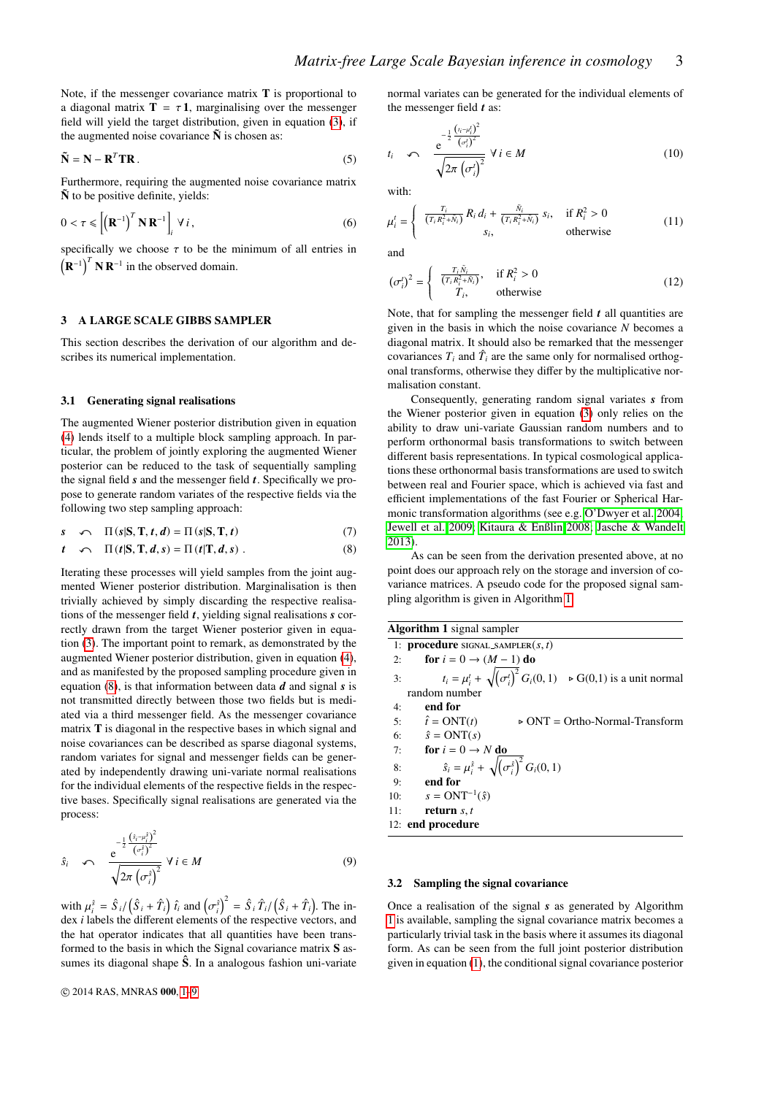Note, if the messenger covariance matrix T is proportional to a diagonal matrix  $T = \tau 1$ , marginalising over the messenger field will yield the target distribution, given in equation [\(3\)](#page-1-1), if the augmented noise covariance  $\tilde{N}$  is chosen as:

$$
\tilde{\mathbf{N}} = \mathbf{N} - \mathbf{R}^T \mathbf{T} \mathbf{R} \tag{5}
$$

Furthermore, requiring the augmented noise covariance matrix  $\tilde{\mathbf{N}}$  to be positive definite, yields:

$$
0 < \tau \leq \left[ \left( \mathbf{R}^{-1} \right)^{T} \mathbf{N} \mathbf{R}^{-1} \right]_{i} \forall i, \tag{6}
$$

specifically we choose  $\tau$  to be the minimum of all entries in  $(\mathbf{R}^{-1})^T \mathbf{N} \mathbf{R}^{-1}$  in the observed domain.

## <span id="page-2-0"></span>3 A LARGE SCALE GIBBS SAMPLER

This section describes the derivation of our algorithm and describes its numerical implementation.

#### 3.1 Generating signal realisations

The augmented Wiener posterior distribution given in equation [\(4\)](#page-1-2) lends itself to a multiple block sampling approach. In particular, the problem of jointly exploring the augmented Wiener posterior can be reduced to the task of sequentially sampling the signal field *s* and the messenger field *t*. Specifically we propose to generate random variates of the respective fields via the following two step sampling approach:

$$
s \qquad \qquad \Pi(s|S, T, t, d) = \Pi(s|S, T, t) \tag{7}
$$

<span id="page-2-1"></span>
$$
t \quad \curvearrowleft \quad \Pi(t|S,T,d,s) = \Pi(t|T,d,s) \; . \tag{8}
$$

Iterating these processes will yield samples from the joint augmented Wiener posterior distribution. Marginalisation is then trivially achieved by simply discarding the respective realisations of the messenger field *t*, yielding signal realisations *s* correctly drawn from the target Wiener posterior given in equation [\(3\)](#page-1-1). The important point to remark, as demonstrated by the augmented Wiener posterior distribution, given in equation [\(4\)](#page-1-2), and as manifested by the proposed sampling procedure given in equation [\(8\)](#page-2-1), is that information between data *d* and signal *s* is not transmitted directly between those two fields but is mediated via a third messenger field. As the messenger covariance matrix T is diagonal in the respective bases in which signal and noise covariances can be described as sparse diagonal systems, random variates for signal and messenger fields can be generated by independently drawing uni-variate normal realisations for the individual elements of the respective fields in the respective bases. Specifically signal realisations are generated via the process:

$$
\hat{s}_i \quad \curvearrowleft \quad \frac{e^{-\frac{1}{2} \frac{\left(\hat{s}_i - \mu_i^2\right)^2}{\left(\sigma_i^2\right)^2}}}{\sqrt{2\pi \left(\sigma_i^{\hat{s}}\right)^2}} \ \forall \ i \in M \tag{9}
$$

with  $\mu_i^{\hat{s}} = \hat{S}_i / (\hat{S}_i + \hat{T}_i) \hat{t}_i$  and  $(\sigma_i^{\hat{s}})^2 = \hat{S}_i \hat{T}_i / (\hat{S}_i + \hat{T}_i)$ . The in-<br>dex *i* labels the different elements of the respective vectors, and dex *i* labels the different elements of the respective vectors, and the hat operator indicates that all quantities have been transformed to the basis in which the Signal covariance matrix S assumes its diagonal shape  $\hat{S}$ . In a analogous fashion uni-variate normal variates can be generated for the individual elements of the messenger field *t* as:

$$
t_{i} \quad \curvearrowleft \quad \frac{e^{-\frac{1}{2} \frac{(i_{i} - \mu'_{i})^{2}}{(\sigma'_{i})^{2}}}}{\sqrt{2\pi (\sigma'_{i})^{2}}} \ \forall \ i \in M
$$
\n(10)

with:

$$
\mu_i^t = \begin{cases}\n\frac{T_i}{(T_i R_i^2 + \bar{N}_i)} R_i d_i + \frac{\tilde{N}_i}{(T_i R_i^2 + \bar{N}_i)} s_i, & \text{if } R_i^2 > 0 \\
s_i, & \text{otherwise}\n\end{cases}
$$
\n(11)

and

$$
\left(\sigma_i^t\right)^2 = \begin{cases} \frac{T_i \tilde{N}_i}{\left(T_i R_i^2 + \tilde{N}_i\right)}, & \text{if } R_i^2 > 0\\ T_i, & \text{otherwise} \end{cases}
$$
\n(12)

Note, that for sampling the messenger field *t* all quantities are given in the basis in which the noise covariance *N* becomes a diagonal matrix. It should also be remarked that the messenger covariances  $T_i$  and  $\hat{T}_i$  are the same only for normalised orthogonal transforms, otherwise they differ by the multiplicative normalisation constant.

Consequently, generating random signal variates *s* from the Wiener posterior given in equation [\(3\)](#page-1-1) only relies on the ability to draw uni-variate Gaussian random numbers and to perform orthonormal basis transformations to switch between different basis representations. In typical cosmological applications these orthonormal basis transformations are used to switch between real and Fourier space, which is achieved via fast and efficient implementations of the fast Fourier or Spherical Harmonic transformation algorithms (see e.g. [O'Dwyer et al. 2004;](#page-8-18) [Jewell et al. 2009;](#page-8-28) [Kitaura & Enßlin 2008;](#page-8-11) [Jasche & Wandelt](#page-8-15) [2013\)](#page-8-15).

As can be seen from the derivation presented above, at no point does our approach rely on the storage and inversion of covariance matrices. A pseudo code for the proposed signal sampling algorithm is given in Algorithm [1.](#page-2-2)

<span id="page-2-2"></span>

|     | <b>Algorithm 1</b> signal sampler                                                             |
|-----|-----------------------------------------------------------------------------------------------|
|     | 1: <b>procedure</b> SIGNAL_SAMPLER $(s, t)$                                                   |
| 2:  | for $i = 0 \rightarrow (M - 1)$ do                                                            |
|     | $t_i = \mu_i^t + \sqrt{(\sigma_i^t)^2} G_i(0, 1)$ $\rightarrow$ G(0,1) is a unit normal<br>3: |
|     | random number                                                                                 |
| 4:  | end for                                                                                       |
|     | 5: $\hat{t} = ONT(t)$<br>$\triangleright$ ONT = Ortho-Normal-Transform                        |
|     | 6: $\hat{s} = ONT(s)$                                                                         |
| 7:  | for $i = 0 \rightarrow N$ do                                                                  |
| 8:  | $\hat{s}_i = \mu_i^{\hat{s}} + \sqrt{(\sigma_i^{\hat{s}})^2} G_i(0, 1)$                       |
| 9:  | end for                                                                                       |
|     | 10: $s = ONT^{-1}(\hat{s})$                                                                   |
| 11: | return $s, t$                                                                                 |
|     | 12: end procedure                                                                             |

#### 3.2 Sampling the signal covariance

Once a realisation of the signal *s* as generated by Algorithm [1](#page-2-2) is available, sampling the signal covariance matrix becomes a particularly trivial task in the basis where it assumes its diagonal form. As can be seen from the full joint posterior distribution given in equation [\(1\)](#page-1-3), the conditional signal covariance posterior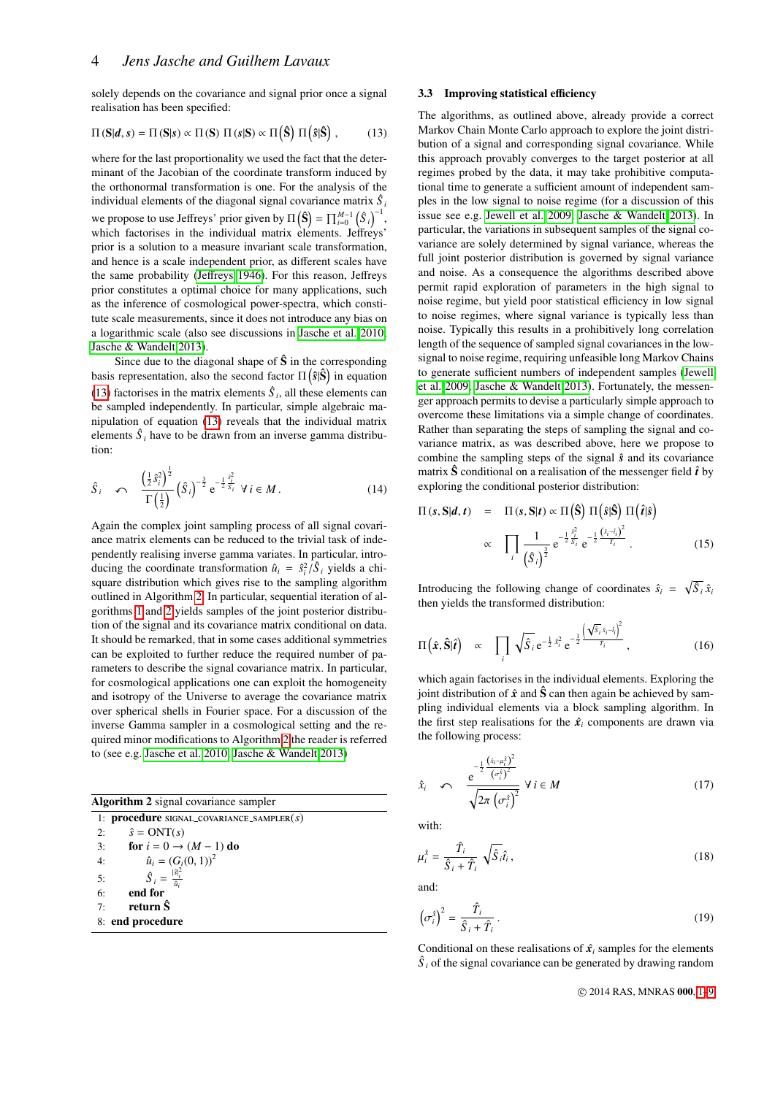solely depends on the covariance and signal prior once a signal realisation has been specified:

<span id="page-3-0"></span>
$$
\Pi(S|d, s) = \Pi(S|s) \propto \Pi(S) \Pi(s|S) \propto \Pi(\hat{S}) \Pi(\hat{s}|\hat{S}), \quad (13)
$$

where for the last proportionality we used the fact that the determinant of the Jacobian of the coordinate transform induced by the orthonormal transformation is one. For the analysis of the individual elements of the diagonal signal covariance matrix *S*ˆ *i* we propose to use Jeffreys' prior given by  $\Pi(\hat{S}) = \prod_{i=0}^{M-1} (\hat{S}_i)^{-1}$ , which factorises in the individual matrix elements. Jeffreys' prior is a solution to a measure invariant scale transformation, and hence is a scale independent prior, as different scales have the same probability (Jeff[reys 1946\)](#page-8-29). For this reason, Jeffreys prior constitutes a optimal choice for many applications, such as the inference of cosmological power-spectra, which constitute scale measurements, since it does not introduce any bias on a logarithmic scale (also see discussions in [Jasche et al. 2010;](#page-8-14) [Jasche & Wandelt 2013\)](#page-8-15).

Since due to the diagonal shape of  $\hat{S}$  in the corresponding basis representation, also the second factor  $\Pi(\hat{s}|\hat{S})$  in equation [\(13\)](#page-3-0) factorises in the matrix elements  $\hat{S}_i$ , all these elements can be sampled independently. In particular, simple algebraic manipulation of equation [\(13\)](#page-3-0) reveals that the individual matrix elements  $\hat{S}_i$  have to be drawn from an inverse gamma distribution:

$$
\hat{S}_{i} \quad \curvearrowleft \quad \frac{\left(\frac{1}{2}\hat{s}_{i}^{2}\right)^{\frac{1}{2}}}{\Gamma\left(\frac{1}{2}\right)} \left(\hat{S}_{i}\right)^{-\frac{3}{2}} e^{-\frac{1}{2}\frac{\hat{s}_{i}^{2}}{\hat{S}_{i}}} \ \forall \ i \in M. \tag{14}
$$

Again the complex joint sampling process of all signal covariance matrix elements can be reduced to the trivial task of independently realising inverse gamma variates. In particular, introducing the coordinate transformation  $\hat{u}_i = \frac{\hat{s}_i^2}{\hat{\beta}_i}$  yields a chi-<br>square distribution which gives rise to the sampling algorithm square distribution which gives rise to the sampling algorithm outlined in Algorithm [2.](#page-3-1) In particular, sequential iteration of algorithms [1](#page-2-2) and [2](#page-3-1) yields samples of the joint posterior distribution of the signal and its covariance matrix conditional on data. It should be remarked, that in some cases additional symmetries can be exploited to further reduce the required number of parameters to describe the signal covariance matrix. In particular, for cosmological applications one can exploit the homogeneity and isotropy of the Universe to average the covariance matrix over spherical shells in Fourier space. For a discussion of the inverse Gamma sampler in a cosmological setting and the required minor modifications to Algorithm [2](#page-3-1) the reader is referred to (see e.g. [Jasche et al. 2010;](#page-8-14) [Jasche & Wandelt 2013\)](#page-8-15)

| <b>Algorithm 2</b> signal covariance sampler |  |  |
|----------------------------------------------|--|--|
|                                              |  |  |

<span id="page-3-1"></span>1: procedure signal covariance sampler(*s*) 2:  $\hat{s} = ONT(s)$ 3: **for**  $i = 0 \rightarrow (M-1)$  do 4:  $\hat{u}_i = (G_i(0, 1))^2$ <br>  $\hat{u}_i = \frac{S_i^2}{|S_i^2|}$ 5: *S*ˆ  $\hat{S}_i$  =  $\frac{|\hat{s}|_i^2}{2}$  $\hat{u}_i$ 6: end for 7: return  $\hat{\mathbf{S}}$ 8: end procedure

### 3.3 Improving statistical efficiency

The algorithms, as outlined above, already provide a correct Markov Chain Monte Carlo approach to explore the joint distribution of a signal and corresponding signal covariance. While this approach provably converges to the target posterior at all regimes probed by the data, it may take prohibitive computational time to generate a sufficient amount of independent samples in the low signal to noise regime (for a discussion of this issue see e.g. [Jewell et al. 2009;](#page-8-28) [Jasche & Wandelt 2013\)](#page-8-15). In particular, the variations in subsequent samples of the signal covariance are solely determined by signal variance, whereas the full joint posterior distribution is governed by signal variance and noise. As a consequence the algorithms described above permit rapid exploration of parameters in the high signal to noise regime, but yield poor statistical efficiency in low signal to noise regimes, where signal variance is typically less than noise. Typically this results in a prohibitively long correlation length of the sequence of sampled signal covariances in the lowsignal to noise regime, requiring unfeasible long Markov Chains to generate sufficient numbers of independent samples [\(Jewell](#page-8-28) [et al. 2009;](#page-8-28) [Jasche & Wandelt 2013\)](#page-8-15). Fortunately, the messenger approach permits to devise a particularly simple approach to overcome these limitations via a simple change of coordinates. Rather than separating the steps of sampling the signal and covariance matrix, as was described above, here we propose to combine the sampling steps of the signal *s*ˆ and its covariance matrix  $\hat{S}$  conditional on a realisation of the messenger field  $\hat{t}$  by exploring the conditional posterior distribution:

$$
\Pi(s, \mathbf{S}|\boldsymbol{d}, t) = \Pi(s, \mathbf{S}|t) \propto \Pi\left(\hat{\mathbf{S}}\right) \Pi\left(\hat{s}|\hat{\mathbf{S}}\right) \Pi\left(\hat{t}|\hat{s}\right)
$$
\n
$$
\propto \prod_{i} \frac{1}{\left(\hat{S}_{i}\right)^{\frac{3}{2}}} e^{-\frac{1}{2} \frac{\hat{s}_{i}^{2}}{\hat{S}_{i}}} e^{-\frac{1}{2} \frac{\left(\hat{s}_{i} - \hat{t}_{i}\right)^{2}}{\hat{T}_{i}}}.
$$
\n(15)

Introducing the following change of coordinates  $\hat{s}_i = \sqrt{\hat{S}_i} \hat{x}_i$ then yields the transformed distribution:

$$
\Pi\left(\hat{\boldsymbol{x}},\hat{\mathbf{S}}|\hat{\boldsymbol{t}}\right) \quad \propto \quad \prod_{i} \sqrt{\hat{S}_{i}} \,\mathrm{e}^{-\frac{1}{2}\,\hat{x}_{i}^{2}} \,\mathrm{e}^{-\frac{1}{2}\left(\frac{\sqrt{\hat{S}_{i}\,\hat{x}_{i}-\hat{t}_{i}}}{\hat{T}_{i}}\right)^{2}}\,,\tag{16}
$$

<span id="page-3-2"></span>which again factorises in the individual elements. Exploring the joint distribution of  $\hat{x}$  and  $\hat{S}$  can then again be achieved by sampling individual elements via a block sampling algorithm. In the first step realisations for the  $\hat{x}_i$  components are drawn via the following process:

$$
\hat{x}_i \quad \curvearrowleft \quad \frac{e^{-\frac{1}{2} \frac{\left(\hat{x}_i - \mu_i^2\right)^2}{\left(\sigma_i^2\right)^2}}}{\sqrt{2\pi \left(\sigma_i^2\right)^2}} \ \forall \ i \in M \tag{17}
$$

with:

$$
\mu_i^{\hat{x}} = \frac{\hat{T}_i}{\hat{S}_i + \hat{T}_i} \sqrt{\hat{S}_i} \hat{t}_i, \qquad (18)
$$

and:

$$
\left(\sigma_i^{\hat{x}}\right)^2 = \frac{\hat{T}_i}{\hat{S}_i + \hat{T}_i} \,. \tag{19}
$$

Conditional on these realisations of  $\hat{x}$ <sup>*i*</sup> samples for the elements  $\hat{S}_i$  of the signal covariance can be generated by drawing random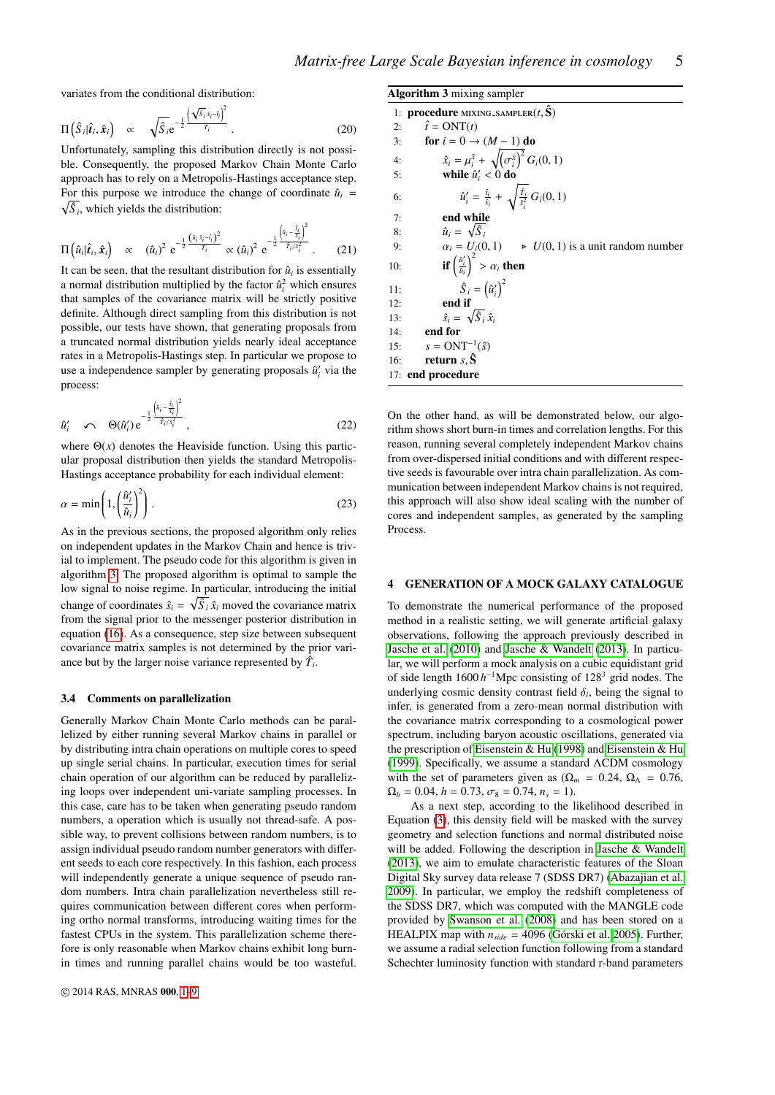variates from the conditional distribution:

$$
\Pi\left(\hat{S}_i|\hat{\boldsymbol{t}}_i,\hat{\boldsymbol{x}}_i\right) \propto \sqrt{\hat{S}_i}e^{-\frac{1}{2}\left(\frac{\sqrt{\hat{S}_i}\hat{x}_i-\hat{t}_i}{\hat{T}_i}\right)^2}.
$$
\n(20)

Unfortunately, sampling this distribution directly is not possible. Consequently, the proposed Markov Chain Monte Carlo approach has to rely on a Metropolis-Hastings acceptance step. For this purpose we introduce the change of coordinate  $\hat{u}_i$  =  $\sqrt{\hat{S}_i}$ , which yields the distribution:

$$
\Pi\left(\hat{u}_i|\hat{t}_i,\hat{x}_i\right) \propto (\hat{u}_i)^2 e^{-\frac{1}{2}\frac{\left(\hat{u}_i\hat{x}_i-\hat{t}_i\right)^2}{\hat{T}_i}} \propto (\hat{u}_i)^2 e^{-\frac{1}{2}\frac{\left(\hat{u}_i-\hat{t}_i\right)^2}{\hat{T}_i/\hat{x}_i^2}}.
$$
 (21)

It can be seen, that the resultant distribution for  $\hat{u}_i$  is essentially a normal distribution multiplied by the factor  $\hat{u}_i^2$  which ensures that samples of the covariance matrix will be strictly positive definite. Although direct sampling from this distribution is not possible, our tests have shown, that generating proposals from a truncated normal distribution yields nearly ideal acceptance rates in a Metropolis-Hastings step. In particular we propose to use a independence sampler by generating proposals  $\hat{u}'_i$  via the process:

$$
\hat{u}'_i \quad \curvearrowleft \quad \Theta(\hat{u}'_i) \, \mathrm{e}^{-\frac{1}{2} \frac{\left(\hat{u}_i - \frac{\hat{t}_i}{\hat{x}_i}\right)^2}{\hat{T}_i/\hat{x}_i^2}}, \tag{22}
$$

where  $\Theta(x)$  denotes the Heaviside function. Using this particular proposal distribution then yields the standard Metropolis-Hastings acceptance probability for each individual element:

$$
\alpha = \min\left(1, \left(\frac{\hat{u}_i'}{\hat{u}_i}\right)^2\right). \tag{23}
$$

As in the previous sections, the proposed algorithm only relies on independent updates in the Markov Chain and hence is trivial to implement. The pseudo code for this algorithm is given in algorithm [3.](#page-4-1) The proposed algorithm is optimal to sample the low signal to noise regime. In particular, introducing the initial change of coordinates  $\hat{s}_i = \sqrt{\hat{S}_i} \hat{x}_i$  moved the covariance matrix from the signal prior to the messenger posterior distribution in equation [\(16\)](#page-3-2). As a consequence, step size between subsequent covariance matrix samples is not determined by the prior variance but by the larger noise variance represented by  $\hat{T}_i$ .

#### 3.4 Comments on parallelization

Generally Markov Chain Monte Carlo methods can be parallelized by either running several Markov chains in parallel or by distributing intra chain operations on multiple cores to speed up single serial chains. In particular, execution times for serial chain operation of our algorithm can be reduced by parallelizing loops over independent uni-variate sampling processes. In this case, care has to be taken when generating pseudo random numbers, a operation which is usually not thread-safe. A possible way, to prevent collisions between random numbers, is to assign individual pseudo random number generators with different seeds to each core respectively. In this fashion, each process will independently generate a unique sequence of pseudo random numbers. Intra chain parallelization nevertheless still requires communication between different cores when performing ortho normal transforms, introducing waiting times for the fastest CPUs in the system. This parallelization scheme therefore is only reasonable when Markov chains exhibit long burnin times and running parallel chains would be too wasteful.

<span id="page-4-1"></span>

|     | <b>Algorithm 3</b> mixing sampler                                                           |  |  |  |  |  |
|-----|---------------------------------------------------------------------------------------------|--|--|--|--|--|
|     | 1: procedure MIXING_SAMPLER $(t, \hat{S})$                                                  |  |  |  |  |  |
| 2:  | $\hat{t} = \text{ONT}(t)$                                                                   |  |  |  |  |  |
| 3:  | for $i = 0 \rightarrow (M - 1)$ do                                                          |  |  |  |  |  |
| 4:  | $\hat{x}_i = \mu_i^{\hat{x}} + \sqrt{(\sigma_i^{\hat{x}})^2} G_i(0, 1)$                     |  |  |  |  |  |
| 5:  | while $\hat{u}'_i < 0$ do                                                                   |  |  |  |  |  |
| 6:  | $\hat{u}'_i = \frac{\hat{t}_i}{\hat{x}_i} + \sqrt{\frac{\hat{T}_i}{\hat{x}_i^2}} G_i(0, 1)$ |  |  |  |  |  |
| 7:  | end while                                                                                   |  |  |  |  |  |
| 8:  | $\hat{u}_i = \sqrt{\hat{S}_i}$                                                              |  |  |  |  |  |
| 9:  | $\alpha_i = U_i(0, 1)$ $\rightarrow$ $U(0, 1)$ is a unit random number                      |  |  |  |  |  |
| 10: | <b>if</b> $\left(\frac{\hat{u}'_i}{\hat{u}_i}\right)^2 > \alpha_i$ then                     |  |  |  |  |  |
| 11: | $\hat{S}_i = (\hat{u}'_i)^2$                                                                |  |  |  |  |  |
| 12: | end if                                                                                      |  |  |  |  |  |
| 13: | $\hat{s}_i = \sqrt{\hat{S}_i} \hat{x}_i$                                                    |  |  |  |  |  |
| 14: | end for                                                                                     |  |  |  |  |  |
|     | 15: $s = ONT^{-1}(\hat{s})$                                                                 |  |  |  |  |  |
| 16: | return $s, \tilde{S}$                                                                       |  |  |  |  |  |
|     | 17: end procedure                                                                           |  |  |  |  |  |

On the other hand, as will be demonstrated below, our algorithm shows short burn-in times and correlation lengths. For this reason, running several completely independent Markov chains from over-dispersed initial conditions and with different respective seeds is favourable over intra chain parallelization. As communication between independent Markov chains is not required, this approach will also show ideal scaling with the number of cores and independent samples, as generated by the sampling Process.

## <span id="page-4-0"></span>4 GENERATION OF A MOCK GALAXY CATALOGUE

To demonstrate the numerical performance of the proposed method in a realistic setting, we will generate artificial galaxy observations, following the approach previously described in [Jasche et al.](#page-8-14) [\(2010\)](#page-8-14) and [Jasche & Wandelt](#page-8-15) [\(2013\)](#page-8-15). In particular, we will perform a mock analysis on a cubic equidistant grid of side length 1600 *h*<sup>-1</sup>Mpc consisting of 128<sup>3</sup> grid nodes. The underlying cosmic density contrast field  $\delta_i$ , being the signal to infer is generated from a zero-mean normal distribution with infer, is generated from a zero-mean normal distribution with the covariance matrix corresponding to a cosmological power spectrum, including baryon acoustic oscillations, generated via the prescription of [Eisenstein & Hu](#page-8-30) [\(1998\)](#page-8-30) and [Eisenstein & Hu](#page-8-31) [\(1999\)](#page-8-31). Specifically, we assume a standard ΛCDM cosmology with the set of parameters given as  $(\Omega_m = 0.24, \Omega_\Lambda = 0.76,$  $\Omega_b = 0.04$ ,  $h = 0.73$ ,  $\sigma_8 = 0.74$ ,  $n_s = 1$ ).

As a next step, according to the likelihood described in Equation [\(3\)](#page-1-1), this density field will be masked with the survey geometry and selection functions and normal distributed noise will be added. Following the description in [Jasche & Wandelt](#page-8-15) [\(2013\)](#page-8-15), we aim to emulate characteristic features of the Sloan Digital Sky survey data release 7 (SDSS DR7) [\(Abazajian et al.](#page-8-32) [2009\)](#page-8-32). In particular, we employ the redshift completeness of the SDSS DR7, which was computed with the MANGLE code provided by [Swanson et al.](#page-8-33) [\(2008\)](#page-8-33) and has been stored on a HEALPIX map with  $n_{side} = 4096$  (Górski et al. 2005). Further, we assume a radial selection function following from a standard Schechter luminosity function with standard r-band parameters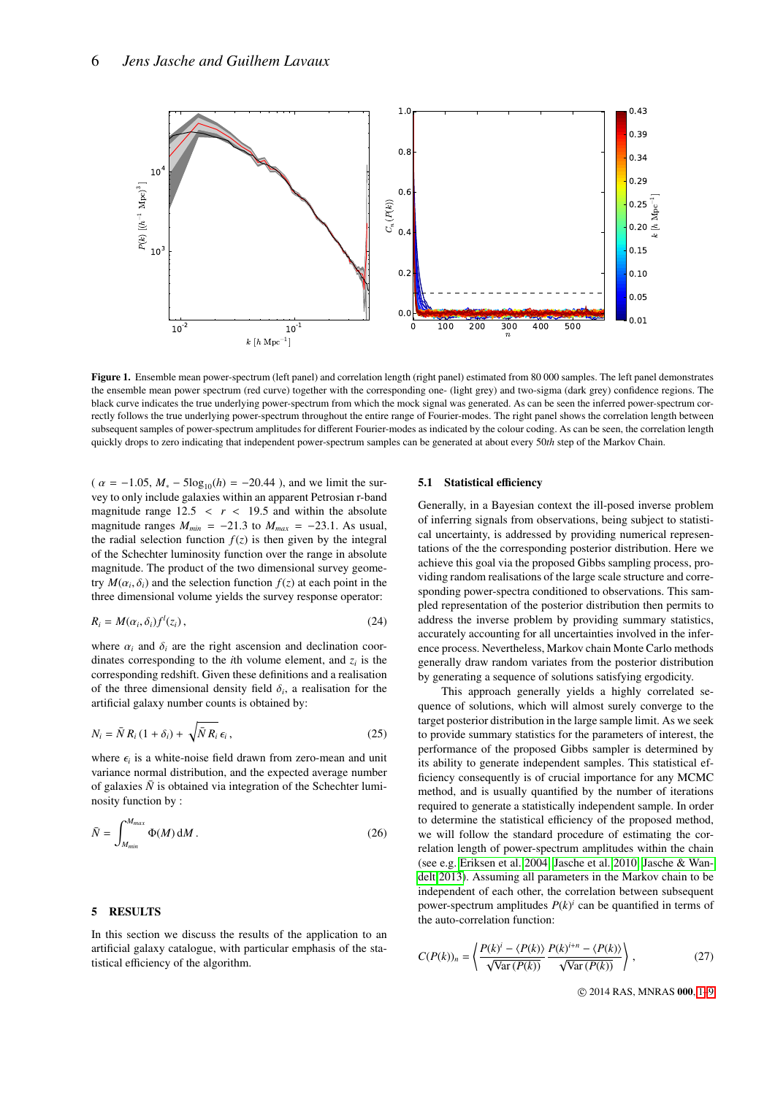

Figure 1. Ensemble mean power-spectrum (left panel) and correlation length (right panel) estimated from 80 000 samples. The left panel demonstrates the ensemble mean power spectrum (red curve) together with the corresponding one- (light grey) and two-sigma (dark grey) confidence regions. The black curve indicates the true underlying power-spectrum from which the mock signal was generated. As can be seen the inferred power-spectrum correctly follows the true underlying power-spectrum throughout the entire range of Fourier-modes. The right panel shows the correlation length between subsequent samples of power-spectrum amplitudes for different Fourier-modes as indicated by the colour coding. As can be seen, the correlation length quickly drops to zero indicating that independent power-spectrum samples can be generated at about every 50*th* step of the Markov Chain.

 $(\alpha = -1.05, M_* - 5\log_{10}(h) = -20.44)$ , and we limit the survey to only include galaxies within an apparent Petrosian r-band magnitude range  $12.5 < r < 19.5$  and within the absolute magnitude ranges  $M_{min} = -21.3$  to  $M_{max} = -23.1$ . As usual, the radial selection function  $f(z)$  is then given by the integral of the Schechter luminosity function over the range in absolute magnitude. The product of the two dimensional survey geometry  $M(\alpha_i, \delta_i)$  and the selection function  $f(z)$  at each point in the three dimensional volume vields the survey response operator: three dimensional volume yields the survey response operator:

$$
R_i = M(\alpha_i, \delta_i) f^l(z_i) \,, \tag{24}
$$

where  $\alpha_i$  and  $\delta_i$  are the right ascension and declination coordinates corresponding to the *i*th volume element, and  $z_i$  is the corresponding redshift. Given these definitions and a realisation of the three dimensional density field  $\delta_i$ , a realisation for the artificial galaxy number counts is obtained by: artificial galaxy number counts is obtained by:

$$
N_i = \bar{N} R_i (1 + \delta_i) + \sqrt{\bar{N} R_i} \epsilon_i, \qquad (25)
$$

where  $\epsilon_i$  is a white-noise field drawn from zero-mean and unit<br>variance normal distribution, and the expected average number variance normal distribution, and the expected average number of galaxies  $\bar{N}$  is obtained via integration of the Schechter luminosity function by :

$$
\bar{N} = \int_{M_{min}}^{M_{max}} \Phi(M) \, \mathrm{d}M \,. \tag{26}
$$

#### <span id="page-5-0"></span>5 RESULTS

In this section we discuss the results of the application to an artificial galaxy catalogue, with particular emphasis of the statistical efficiency of the algorithm.

#### <span id="page-5-2"></span><span id="page-5-1"></span>5.1 Statistical efficiency

Generally, in a Bayesian context the ill-posed inverse problem of inferring signals from observations, being subject to statistical uncertainty, is addressed by providing numerical representations of the the corresponding posterior distribution. Here we achieve this goal via the proposed Gibbs sampling process, providing random realisations of the large scale structure and corresponding power-spectra conditioned to observations. This sampled representation of the posterior distribution then permits to address the inverse problem by providing summary statistics, accurately accounting for all uncertainties involved in the inference process. Nevertheless, Markov chain Monte Carlo methods generally draw random variates from the posterior distribution by generating a sequence of solutions satisfying ergodicity.

This approach generally yields a highly correlated sequence of solutions, which will almost surely converge to the target posterior distribution in the large sample limit. As we seek to provide summary statistics for the parameters of interest, the performance of the proposed Gibbs sampler is determined by its ability to generate independent samples. This statistical efficiency consequently is of crucial importance for any MCMC method, and is usually quantified by the number of iterations required to generate a statistically independent sample. In order to determine the statistical efficiency of the proposed method, we will follow the standard procedure of estimating the correlation length of power-spectrum amplitudes within the chain (see e.g. [Eriksen et al. 2004;](#page-8-16) [Jasche et al. 2010;](#page-8-14) [Jasche & Wan](#page-8-15)[delt 2013\)](#page-8-15). Assuming all parameters in the Markov chain to be independent of each other, the correlation between subsequent power-spectrum amplitudes  $P(k)^i$  can be quantified in terms of the auto-correlation function:

$$
C(P(k))_n = \left\langle \frac{P(k)^i - \langle P(k) \rangle}{\sqrt{\text{Var}(P(k))}} \frac{P(k)^{i+n} - \langle P(k) \rangle}{\sqrt{\text{Var}(P(k))}} \right\rangle, \tag{27}
$$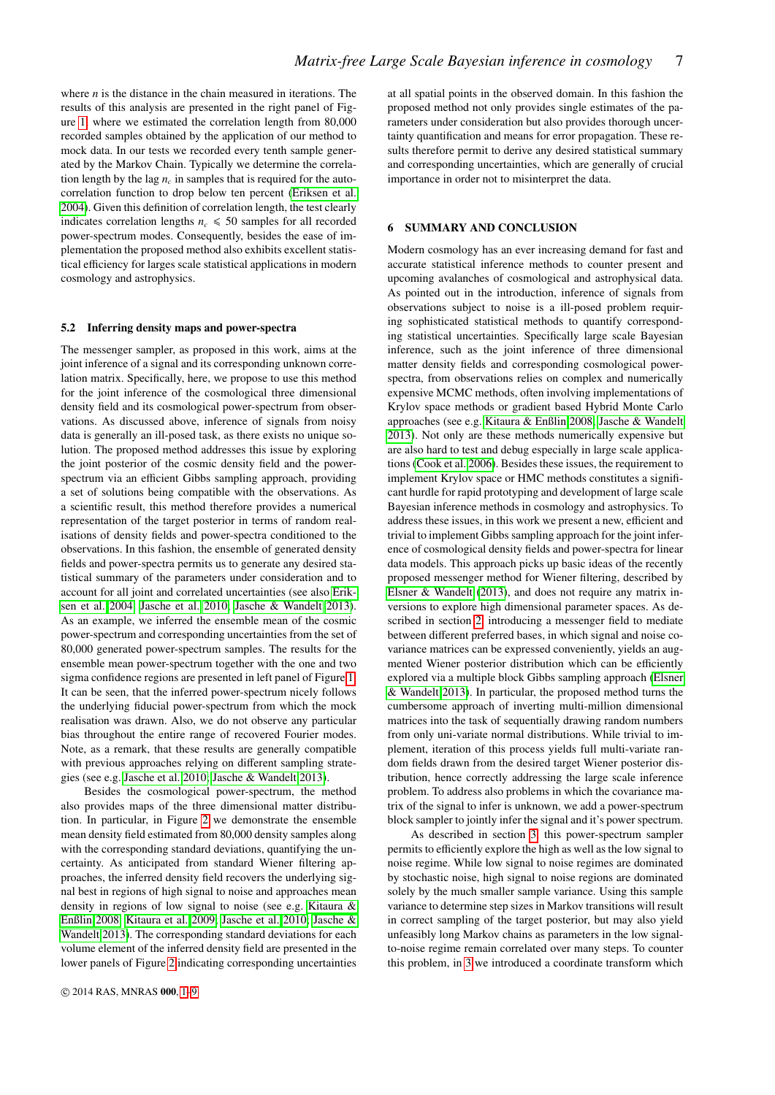where *n* is the distance in the chain measured in iterations. The results of this analysis are presented in the right panel of Figure [1,](#page-5-1) where we estimated the correlation length from 80,000 recorded samples obtained by the application of our method to mock data. In our tests we recorded every tenth sample generated by the Markov Chain. Typically we determine the correlation length by the lag  $n_c$  in samples that is required for the autocorrelation function to drop below ten percent [\(Eriksen et al.](#page-8-16) [2004\)](#page-8-16). Given this definition of correlation length, the test clearly indicates correlation lengths  $n_c \leq 50$  samples for all recorded power-spectrum modes. Consequently, besides the ease of implementation the proposed method also exhibits excellent statistical efficiency for larges scale statistical applications in modern cosmology and astrophysics.

#### <span id="page-6-1"></span>5.2 Inferring density maps and power-spectra

The messenger sampler, as proposed in this work, aims at the joint inference of a signal and its corresponding unknown correlation matrix. Specifically, here, we propose to use this method for the joint inference of the cosmological three dimensional density field and its cosmological power-spectrum from observations. As discussed above, inference of signals from noisy data is generally an ill-posed task, as there exists no unique solution. The proposed method addresses this issue by exploring the joint posterior of the cosmic density field and the powerspectrum via an efficient Gibbs sampling approach, providing a set of solutions being compatible with the observations. As a scientific result, this method therefore provides a numerical representation of the target posterior in terms of random realisations of density fields and power-spectra conditioned to the observations. In this fashion, the ensemble of generated density fields and power-spectra permits us to generate any desired statistical summary of the parameters under consideration and to account for all joint and correlated uncertainties (see also [Erik](#page-8-16)[sen et al. 2004;](#page-8-16) [Jasche et al. 2010;](#page-8-14) [Jasche & Wandelt 2013\)](#page-8-15). As an example, we inferred the ensemble mean of the cosmic power-spectrum and corresponding uncertainties from the set of 80,000 generated power-spectrum samples. The results for the ensemble mean power-spectrum together with the one and two sigma confidence regions are presented in left panel of Figure [1.](#page-5-1) It can be seen, that the inferred power-spectrum nicely follows the underlying fiducial power-spectrum from which the mock realisation was drawn. Also, we do not observe any particular bias throughout the entire range of recovered Fourier modes. Note, as a remark, that these results are generally compatible with previous approaches relying on different sampling strategies (see e.g. [Jasche et al. 2010;](#page-8-14) [Jasche & Wandelt 2013\)](#page-8-15).

Besides the cosmological power-spectrum, the method also provides maps of the three dimensional matter distribution. In particular, in Figure [2](#page-7-0) we demonstrate the ensemble mean density field estimated from 80,000 density samples along with the corresponding standard deviations, quantifying the uncertainty. As anticipated from standard Wiener filtering approaches, the inferred density field recovers the underlying signal best in regions of high signal to noise and approaches mean density in regions of low signal to noise (see e.g. [Kitaura &](#page-8-11) [Enßlin 2008;](#page-8-11) [Kitaura et al. 2009;](#page-8-13) [Jasche et al. 2010;](#page-8-14) [Jasche &](#page-8-15) [Wandelt 2013\)](#page-8-15). The corresponding standard deviations for each volume element of the inferred density field are presented in the lower panels of Figure [2](#page-7-0) indicating corresponding uncertainties

at all spatial points in the observed domain. In this fashion the proposed method not only provides single estimates of the parameters under consideration but also provides thorough uncertainty quantification and means for error propagation. These results therefore permit to derive any desired statistical summary and corresponding uncertainties, which are generally of crucial importance in order not to misinterpret the data.

# <span id="page-6-0"></span>6 SUMMARY AND CONCLUSION

Modern cosmology has an ever increasing demand for fast and accurate statistical inference methods to counter present and upcoming avalanches of cosmological and astrophysical data. As pointed out in the introduction, inference of signals from observations subject to noise is a ill-posed problem requiring sophisticated statistical methods to quantify corresponding statistical uncertainties. Specifically large scale Bayesian inference, such as the joint inference of three dimensional matter density fields and corresponding cosmological powerspectra, from observations relies on complex and numerically expensive MCMC methods, often involving implementations of Krylov space methods or gradient based Hybrid Monte Carlo approaches (see e.g. [Kitaura & Enßlin 2008;](#page-8-11) [Jasche & Wandelt](#page-8-15) [2013\)](#page-8-15). Not only are these methods numerically expensive but are also hard to test and debug especially in large scale applications [\(Cook et al. 2006\)](#page-8-35). Besides these issues, the requirement to implement Krylov space or HMC methods constitutes a significant hurdle for rapid prototyping and development of large scale Bayesian inference methods in cosmology and astrophysics. To address these issues, in this work we present a new, efficient and trivial to implement Gibbs sampling approach for the joint inference of cosmological density fields and power-spectra for linear data models. This approach picks up basic ideas of the recently proposed messenger method for Wiener filtering, described by [Elsner & Wandelt](#page-8-23) [\(2013\)](#page-8-23), and does not require any matrix inversions to explore high dimensional parameter spaces. As described in section [2,](#page-1-0) introducing a messenger field to mediate between different preferred bases, in which signal and noise covariance matrices can be expressed conveniently, yields an augmented Wiener posterior distribution which can be efficiently explored via a multiple block Gibbs sampling approach [\(Elsner](#page-8-23) [& Wandelt 2013\)](#page-8-23). In particular, the proposed method turns the cumbersome approach of inverting multi-million dimensional matrices into the task of sequentially drawing random numbers from only uni-variate normal distributions. While trivial to implement, iteration of this process yields full multi-variate random fields drawn from the desired target Wiener posterior distribution, hence correctly addressing the large scale inference problem. To address also problems in which the covariance matrix of the signal to infer is unknown, we add a power-spectrum block sampler to jointly infer the signal and it's power spectrum.

As described in section [3,](#page-2-0) this power-spectrum sampler permits to efficiently explore the high as well as the low signal to noise regime. While low signal to noise regimes are dominated by stochastic noise, high signal to noise regions are dominated solely by the much smaller sample variance. Using this sample variance to determine step sizes in Markov transitions will result in correct sampling of the target posterior, but may also yield unfeasibly long Markov chains as parameters in the low signalto-noise regime remain correlated over many steps. To counter this problem, in [3](#page-2-0) we introduced a coordinate transform which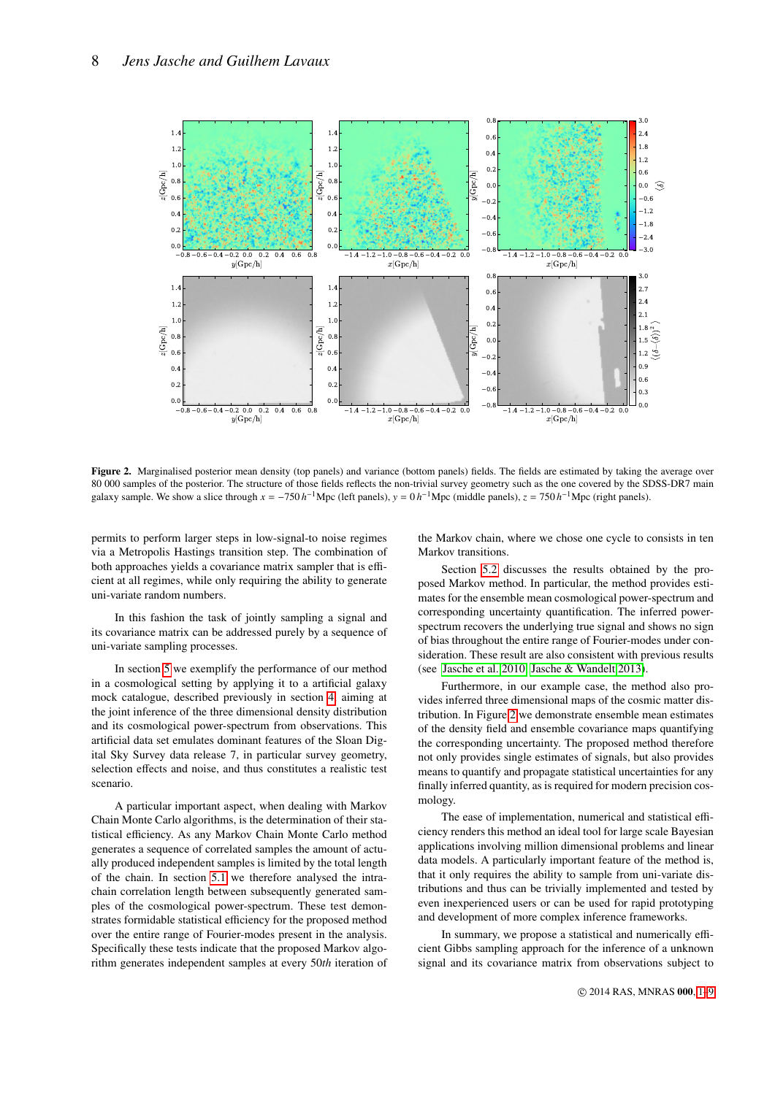

Figure 2. Marginalised posterior mean density (top panels) and variance (bottom panels) fields. The fields are estimated by taking the average over 80 000 samples of the posterior. The structure of those fields reflects the non-trivial survey geometry such as the one covered by the SDSS-DR7 main galaxy sample. We show a slice through  $x = -750 h^{-1}$  Mpc (left panels),  $y = 0 h^{-1}$  Mpc (middle panels),  $z = 750 h^{-1}$  Mpc (right panels).

permits to perform larger steps in low-signal-to noise regimes via a Metropolis Hastings transition step. The combination of both approaches yields a covariance matrix sampler that is efficient at all regimes, while only requiring the ability to generate uni-variate random numbers.

In this fashion the task of jointly sampling a signal and its covariance matrix can be addressed purely by a sequence of uni-variate sampling processes.

In section [5](#page-5-0) we exemplify the performance of our method in a cosmological setting by applying it to a artificial galaxy mock catalogue, described previously in section [4,](#page-4-0) aiming at the joint inference of the three dimensional density distribution and its cosmological power-spectrum from observations. This artificial data set emulates dominant features of the Sloan Digital Sky Survey data release 7, in particular survey geometry, selection effects and noise, and thus constitutes a realistic test scenario.

A particular important aspect, when dealing with Markov Chain Monte Carlo algorithms, is the determination of their statistical efficiency. As any Markov Chain Monte Carlo method generates a sequence of correlated samples the amount of actually produced independent samples is limited by the total length of the chain. In section [5.1](#page-5-2) we therefore analysed the intrachain correlation length between subsequently generated samples of the cosmological power-spectrum. These test demonstrates formidable statistical efficiency for the proposed method over the entire range of Fourier-modes present in the analysis. Specifically these tests indicate that the proposed Markov algorithm generates independent samples at every 50*th* iteration of

<span id="page-7-0"></span>the Markov chain, where we chose one cycle to consists in ten Markov transitions.

Section [5.2](#page-6-1) discusses the results obtained by the proposed Markov method. In particular, the method provides estimates for the ensemble mean cosmological power-spectrum and corresponding uncertainty quantification. The inferred powerspectrum recovers the underlying true signal and shows no sign of bias throughout the entire range of Fourier-modes under consideration. These result are also consistent with previous results (see [Jasche et al. 2010;](#page-8-14) [Jasche & Wandelt 2013\)](#page-8-15).

Furthermore, in our example case, the method also provides inferred three dimensional maps of the cosmic matter distribution. In Figure [2](#page-7-0) we demonstrate ensemble mean estimates of the density field and ensemble covariance maps quantifying the corresponding uncertainty. The proposed method therefore not only provides single estimates of signals, but also provides means to quantify and propagate statistical uncertainties for any finally inferred quantity, as is required for modern precision cosmology.

The ease of implementation, numerical and statistical efficiency renders this method an ideal tool for large scale Bayesian applications involving million dimensional problems and linear data models. A particularly important feature of the method is, that it only requires the ability to sample from uni-variate distributions and thus can be trivially implemented and tested by even inexperienced users or can be used for rapid prototyping and development of more complex inference frameworks.

In summary, we propose a statistical and numerically efficient Gibbs sampling approach for the inference of a unknown signal and its covariance matrix from observations subject to